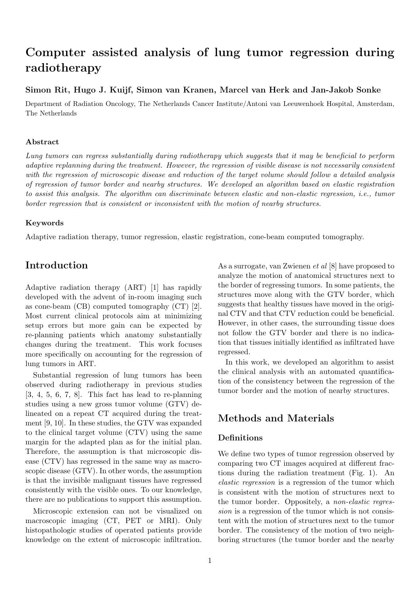# Computer assisted analysis of lung tumor regression during radiotherapy

### Simon Rit, Hugo J. Kuijf, Simon van Kranen, Marcel van Herk and Jan-Jakob Sonke

Department of Radiation Oncology, The Netherlands Cancer Institute/Antoni van Leeuwenhoek Hospital, Amsterdam, The Netherlands

#### Abstract

Lung tumors can regress substantially during radiotherapy which suggests that it may be beneficial to perform adaptive replanning during the treatment. However, the regression of visible disease is not necessarily consistent with the regression of microscopic disease and reduction of the target volume should follow a detailed analysis of regression of tumor border and nearby structures. We developed an algorithm based on elastic registration to assist this analysis. The algorithm can discriminate between elastic and non-elastic regression, i.e., tumor border regression that is consistent or inconsistent with the motion of nearby structures.

#### Keywords

Adaptive radiation therapy, tumor regression, elastic registration, cone-beam computed tomography.

### Introduction

Adaptive radiation therapy (ART) [1] has rapidly developed with the advent of in-room imaging such as cone-beam (CB) computed tomography (CT) [2]. Most current clinical protocols aim at minimizing setup errors but more gain can be expected by re-planning patients which anatomy substantially changes during the treatment. This work focuses more specifically on accounting for the regression of lung tumors in ART.

Substantial regression of lung tumors has been observed during radiotherapy in previous studies  $[3, 4, 5, 6, 7, 8]$ . This fact has lead to re-planning studies using a new gross tumor volume (GTV) delineated on a repeat CT acquired during the treatment [9, 10]. In these studies, the GTV was expanded to the clinical target volume (CTV) using the same margin for the adapted plan as for the initial plan. Therefore, the assumption is that microscopic disease (CTV) has regressed in the same way as macroscopic disease (GTV). In other words, the assumption is that the invisible malignant tissues have regressed consistently with the visible ones. To our knowledge, there are no publications to support this assumption.

Microscopic extension can not be visualized on macroscopic imaging (CT, PET or MRI). Only histopathologic studies of operated patients provide knowledge on the extent of microscopic infiltration.

As a surrogate, van Zwienen et al [8] have proposed to analyze the motion of anatomical structures next to the border of regressing tumors. In some patients, the structures move along with the GTV border, which suggests that healthy tissues have moved in the original CTV and that CTV reduction could be beneficial. However, in other cases, the surrounding tissue does not follow the GTV border and there is no indication that tissues initially identified as infiltrated have regressed.

In this work, we developed an algorithm to assist the clinical analysis with an automated quantification of the consistency between the regression of the tumor border and the motion of nearby structures.

# Methods and Materials

### **Definitions**

We define two types of tumor regression observed by comparing two CT images acquired at different fractions during the radiation treatment (Fig. 1). An elastic regression is a regression of the tumor which is consistent with the motion of structures next to the tumor border. Oppositely, a non-elastic regression is a regression of the tumor which is not consistent with the motion of structures next to the tumor border. The consistency of the motion of two neighboring structures (the tumor border and the nearby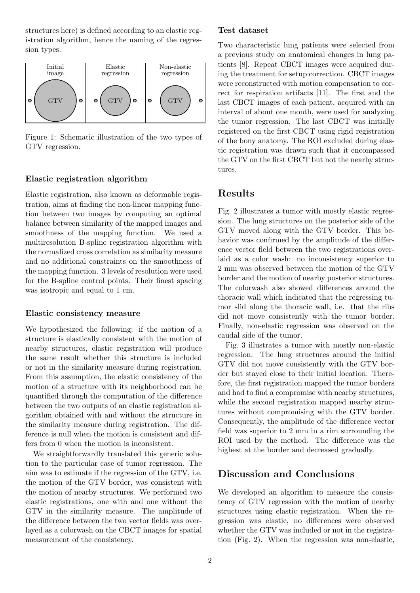structures here) is defined according to an elastic registration algorithm, hence the naming of the regression types.

| Initial    | Elastic    | Non-elastic |
|------------|------------|-------------|
| image      | regression | regression  |
| <b>GTV</b> | <b>GTV</b> | <b>GTV</b>  |
| ۰          | O          | ο           |
| O          | ο          | С           |

Figure 1: Schematic illustration of the two types of GTV regression.

### Elastic registration algorithm

Elastic registration, also known as deformable registration, aims at finding the non-linear mapping function between two images by computing an optimal balance between similarity of the mapped images and smoothness of the mapping function. We used a multiresolution B-spline registration algorithm with the normalized cross correlation as similarity measure and no additional constraints on the smoothness of the mapping function. 3 levels of resolution were used for the B-spline control points. Their finest spacing was isotropic and equal to 1 cm.

#### Elastic consistency measure

We hypothesized the following: if the motion of a structure is elastically consistent with the motion of nearby structures, elastic registration will produce the same result whether this structure is included or not in the similarity measure during registration. From this assumption, the elastic consistency of the motion of a structure with its neighborhood can be quantified through the computation of the difference between the two outputs of an elastic registration algorithm obtained with and without the structure in the similarity measure during registration. The difference is null when the motion is consistent and differs from 0 when the motion is inconsistent.

We straightforwardly translated this generic solution to the particular case of tumor regression. The aim was to estimate if the regression of the GTV, i.e. the motion of the GTV border, was consistent with the motion of nearby structures. We performed two elastic registrations, one with and one without the GTV in the similarity measure. The amplitude of the difference between the two vector fields was overlayed as a colorwash on the CBCT images for spatial measurement of the consistency.

### Test dataset

Two characteristic lung patients were selected from a previous study on anatomical changes in lung patients [8]. Repeat CBCT images were acquired during the treatment for setup correction. CBCT images were reconstructed with motion compensation to correct for respiration artifacts [11]. The first and the last CBCT images of each patient, acquired with an interval of about one month, were used for analyzing the tumor regression. The last CBCT was initially registered on the first CBCT using rigid registration of the bony anatomy. The ROI excluded during elastic registration was drawn such that it encompassed the GTV on the first CBCT but not the nearby structures.

# Results

Fig. 2 illustrates a tumor with mostly elastic regression. The lung structures on the posterior side of the GTV moved along with the GTV border. This behavior was confirmed by the amplitude of the difference vector field between the two registrations overlaid as a color wash: no inconsistency superior to 2 mm was observed between the motion of the GTV border and the motion of nearby posterior structures. The colorwash also showed differences around the thoracic wall which indicated that the regressing tumor slid along the thoracic wall, i.e. that the ribs did not move consistently with the tumor border. Finally, non-elastic regression was observed on the caudal side of the tumor.

Fig. 3 illustrates a tumor with mostly non-elastic regression. The lung structures around the initial GTV did not move consistently with the GTV border but stayed close to their initial location. Therefore, the first registration mapped the tumor borders and had to find a compromise with nearby structures, while the second registration mapped nearby structures without compromising with the GTV border. Consequently, the amplitude of the difference vector field was superior to 2 mm in a rim surrounding the ROI used by the method. The difference was the highest at the border and decreased gradually.

### Discussion and Conclusions

We developed an algorithm to measure the consistency of GTV regression with the motion of nearby structures using elastic registration. When the regression was elastic, no differences were observed whether the GTV was included or not in the registration (Fig. 2). When the regression was non-elastic,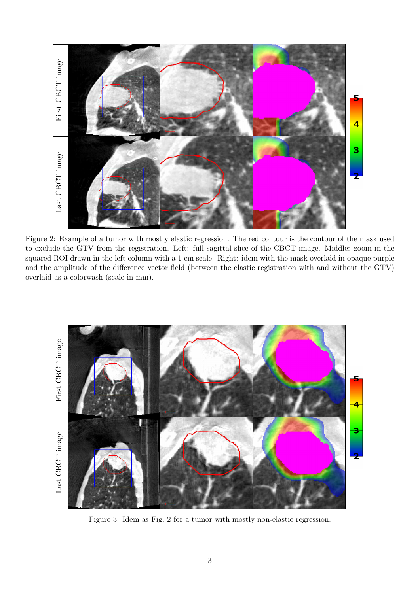

Figure 2: Example of a tumor with mostly elastic regression. The red contour is the contour of the mask used to exclude the GTV from the registration. Left: full sagittal slice of the CBCT image. Middle: zoom in the squared ROI drawn in the left column with a 1 cm scale. Right: idem with the mask overlaid in opaque purple and the amplitude of the difference vector field (between the elastic registration with and without the GTV) overlaid as a colorwash (scale in mm).



Figure 3: Idem as Fig. 2 for a tumor with mostly non-elastic regression.